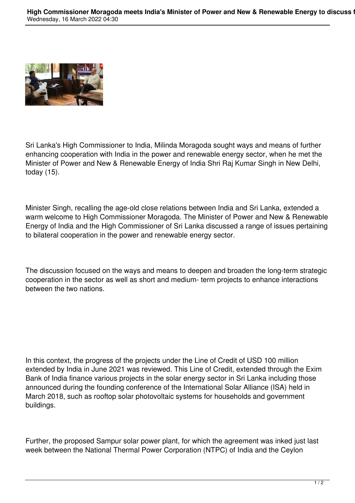

Sri Lanka's High Commissioner to India, Milinda Moragoda sought ways and means of further enhancing cooperation with India in the power and renewable energy sector, when he met the Minister of Power and New & Renewable Energy of India Shri Raj Kumar Singh in New Delhi, today (15).

Minister Singh, recalling the age-old close relations between India and Sri Lanka, extended a warm welcome to High Commissioner Moragoda. The Minister of Power and New & Renewable Energy of India and the High Commissioner of Sri Lanka discussed a range of issues pertaining to bilateral cooperation in the power and renewable energy sector.

The discussion focused on the ways and means to deepen and broaden the long-term strategic cooperation in the sector as well as short and medium- term projects to enhance interactions between the two nations.

In this context, the progress of the projects under the Line of Credit of USD 100 million extended by India in June 2021 was reviewed. This Line of Credit, extended through the Exim Bank of India finance various projects in the solar energy sector in Sri Lanka including those announced during the founding conference of the International Solar Alliance (ISA) held in March 2018, such as rooftop solar photovoltaic systems for households and government buildings.

Further, the proposed Sampur solar power plant, for which the agreement was inked just last week between the National Thermal Power Corporation (NTPC) of India and the Ceylon